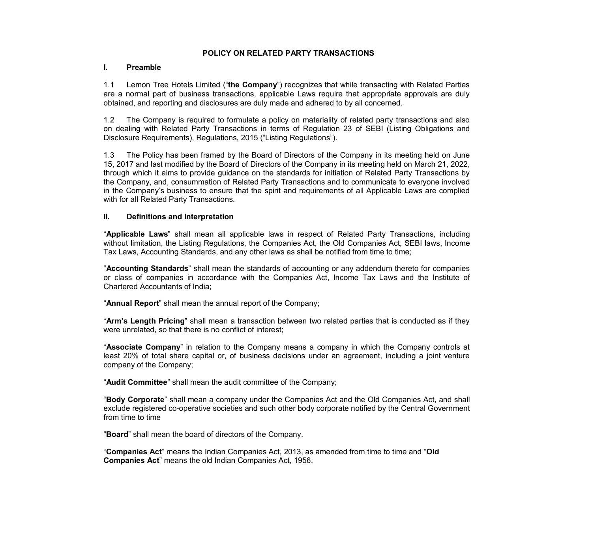#### **POLICY ON RELATED PARTY TRANSACTIONS**

#### **I. Preamble**

1.1 Lemon Tree Hotels Limited ("**the Company**") recognizes that while transacting with Related Parties are a normal part of business transactions, applicable Laws require that appropriate approvals are duly obtained, and reporting and disclosures are duly made and adhered to by all concerned.

1.2 The Company is required to formulate a policy on materiality of related party transactions and also on dealing with Related Party Transactions in terms of Regulation 23 of SEBI (Listing Obligations and Disclosure Requirements), Regulations, 2015 ("Listing Regulations").

1.3 The Policy has been framed by the Board of Directors of the Company in its meeting held on June 15, 2017 and last modified by the Board of Directors of the Company in its meeting held on March 21, 2022, through which it aims to provide guidance on the standards for initiation of Related Party Transactions by the Company, and, consummation of Related Party Transactions and to communicate to everyone involved in the Company's business to ensure that the spirit and requirements of all Applicable Laws are complied with for all Related Party Transactions.

#### **II. Definitions and Interpretation**

"**Applicable Laws**" shall mean all applicable laws in respect of Related Party Transactions, including without limitation, the Listing Regulations, the Companies Act, the Old Companies Act, SEBI laws, Income Tax Laws, Accounting Standards, and any other laws as shall be notified from time to time;

"**Accounting Standards**" shall mean the standards of accounting or any addendum thereto for companies or class of companies in accordance with the Companies Act, Income Tax Laws and the Institute of Chartered Accountants of India;

"**Annual Report**" shall mean the annual report of the Company;

"**Arm's Length Pricing**" shall mean a transaction between two related parties that is conducted as if they were unrelated, so that there is no conflict of interest;

"**Associate Company**" in relation to the Company means a company in which the Company controls at least 20% of total share capital or, of business decisions under an agreement, including a joint venture company of the Company;

"**Audit Committee**" shall mean the audit committee of the Company;

"**Body Corporate**" shall mean a company under the Companies Act and the Old Companies Act, and shall exclude registered co-operative societies and such other body corporate notified by the Central Government from time to time

"**Board**" shall mean the board of directors of the Company.

"**Companies Act**" means the Indian Companies Act, 2013, as amended from time to time and "**Old Companies Act**" means the old Indian Companies Act, 1956.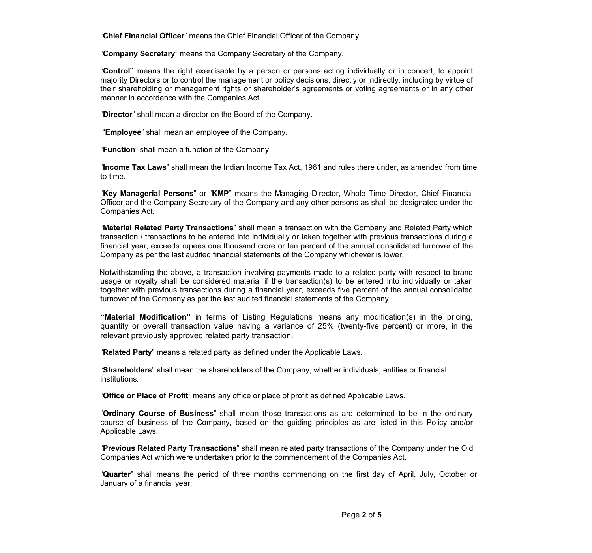"**Chief Financial Officer**" means the Chief Financial Officer of the Company.

"**Company Secretary**" means the Company Secretary of the Company.

"**Control"** means the right exercisable by a person or persons acting individually or in concert, to appoint majority Directors or to control the management or policy decisions, directly or indirectly, including by virtue of their shareholding or management rights or shareholder's agreements or voting agreements or in any other manner in accordance with the Companies Act.

"**Director**" shall mean a director on the Board of the Company.

"**Employee**" shall mean an employee of the Company.

"**Function**" shall mean a function of the Company.

"**Income Tax Laws**" shall mean the Indian Income Tax Act, 1961 and rules there under, as amended from time to time.

"**Key Managerial Persons**" or "**KMP**" means the Managing Director, Whole Time Director, Chief Financial Officer and the Company Secretary of the Company and any other persons as shall be designated under the Companies Act.

"**Material Related Party Transactions**" shall mean a transaction with the Company and Related Party which transaction / transactions to be entered into individually or taken together with previous transactions during a financial year, exceeds rupees one thousand crore or ten percent of the annual consolidated turnover of the Company as per the last audited financial statements of the Company whichever is lower.

Notwithstanding the above, a transaction involving payments made to a related party with respect to brand usage or royalty shall be considered material if the transaction(s) to be entered into individually or taken together with previous transactions during a financial year, exceeds five percent of the annual consolidated turnover of the Company as per the last audited financial statements of the Company.

**"Material Modification"** in terms of Listing Regulations means any modification(s) in the pricing, quantity or overall transaction value having a variance of 25% (twenty-five percent) or more, in the relevant previously approved related party transaction.

"**Related Party**" means a related party as defined under the Applicable Laws.

"**Shareholders**" shall mean the shareholders of the Company, whether individuals, entities or financial institutions.

"**Office or Place of Profit**" means any office or place of profit as defined Applicable Laws.

"**Ordinary Course of Business**" shall mean those transactions as are determined to be in the ordinary course of business of the Company, based on the guiding principles as are listed in this Policy and/or Applicable Laws.

"**Previous Related Party Transactions**" shall mean related party transactions of the Company under the Old Companies Act which were undertaken prior to the commencement of the Companies Act.

"**Quarter**" shall means the period of three months commencing on the first day of April, July, October or January of a financial year;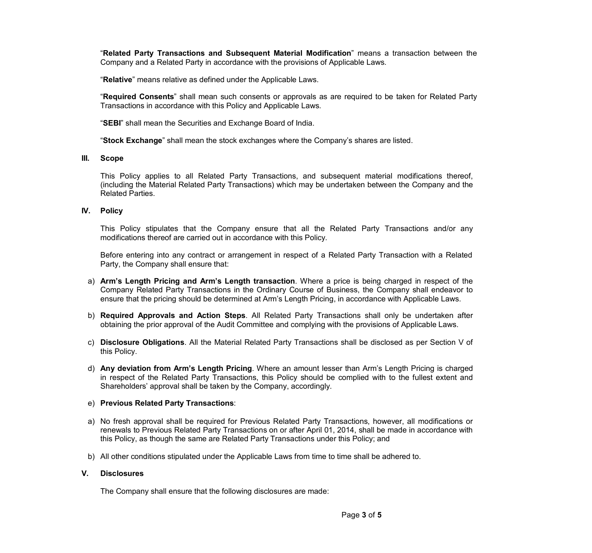"**Related Party Transactions and Subsequent Material Modification**" means a transaction between the Company and a Related Party in accordance with the provisions of Applicable Laws.

"**Relative**" means relative as defined under the Applicable Laws.

"**Required Consents**" shall mean such consents or approvals as are required to be taken for Related Party Transactions in accordance with this Policy and Applicable Laws.

"**SEBI**" shall mean the Securities and Exchange Board of India.

"**Stock Exchange**" shall mean the stock exchanges where the Company's shares are listed.

#### **III. Scope**

This Policy applies to all Related Party Transactions, and subsequent material modifications thereof, (including the Material Related Party Transactions) which may be undertaken between the Company and the Related Parties.

# **IV. Policy**

This Policy stipulates that the Company ensure that all the Related Party Transactions and/or any modifications thereof are carried out in accordance with this Policy.

Before entering into any contract or arrangement in respect of a Related Party Transaction with a Related Party, the Company shall ensure that:

- a) **Arm's Length Pricing and Arm's Length transaction**. Where a price is being charged in respect of the Company Related Party Transactions in the Ordinary Course of Business, the Company shall endeavor to ensure that the pricing should be determined at Arm's Length Pricing, in accordance with Applicable Laws.
- b) **Required Approvals and Action Steps**. All Related Party Transactions shall only be undertaken after obtaining the prior approval of the Audit Committee and complying with the provisions of Applicable Laws.
- c) **Disclosure Obligations**. All the Material Related Party Transactions shall be disclosed as per Section V of this Policy.
- d) **Any deviation from Arm's Length Pricing**. Where an amount lesser than Arm's Length Pricing is charged in respect of the Related Party Transactions, this Policy should be complied with to the fullest extent and Shareholders' approval shall be taken by the Company, accordingly.

# e) **Previous Related Party Transactions**:

- a) No fresh approval shall be required for Previous Related Party Transactions, however, all modifications or renewals to Previous Related Party Transactions on or after April 01, 2014, shall be made in accordance with this Policy, as though the same are Related Party Transactions under this Policy; and
- b) All other conditions stipulated under the Applicable Laws from time to time shall be adhered to.

# **V. Disclosures**

The Company shall ensure that the following disclosures are made: